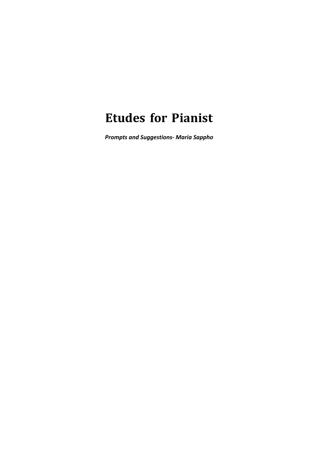## **Etudes for Pianist**

*Prompts and Suggestions- Maria Sappho*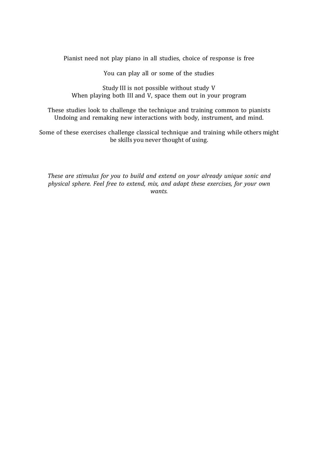Pianist need not play piano in all studies, choice of response is free

You can play all or some of the studies

Study III is not possible without study V When playing both III and V, space them out in your program

These studies look to challenge the technique and training common to pianists Undoing and remaking new interactions with body, instrument, and mind.

Some of these exercises challenge classical technique and training while others might be skills you never thought of using.

*These are stimulus for you to build and extend on your already unique sonic and physical sphere. Feel free to extend, mix, and adapt these exercises, for your own wants.*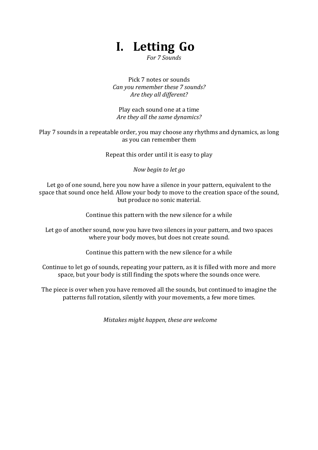## **I. Letting Go**

*For 7 Sounds*

Pick 7 notes or sounds *Can you remember these 7 sounds?* Are they all different?

Play each sound one at a time Are they all the same dynamics?

Play 7 sounds in a repeatable order, you may choose any rhythms and dynamics, as long as you can remember them

Repeat this order until it is easy to play

*Now begin to let go*

Let go of one sound, here you now have a silence in your pattern, equivalent to the space that sound once held. Allow your body to move to the creation space of the sound, but produce no sonic material.

Continue this pattern with the new silence for a while

Let go of another sound, now you have two silences in your pattern, and two spaces where your body moves, but does not create sound.

Continue this pattern with the new silence for a while

Continue to let go of sounds, repeating your pattern, as it is filled with more and more space, but your body is still finding the spots where the sounds once were.

The piece is over when you have removed all the sounds, but continued to imagine the patterns full rotation, silently with your movements, a few more times.

*Mistakes might happen, these are welcome*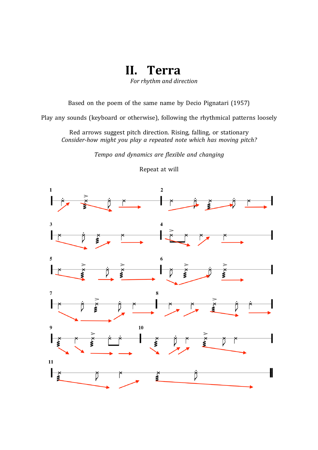**II. Terra**

*For rhythm and direction*

Based on the poem of the same name by Decio Pignatari (1957)

Play any sounds (keyboard or otherwise), following the rhythmical patterns loosely

Red arrows suggest pitch direction. Rising, falling, or stationary *Consider-how might you play a repeated note which has moving pitch?*

*Tempo and dynamics are flexible and changing*



Repeat at will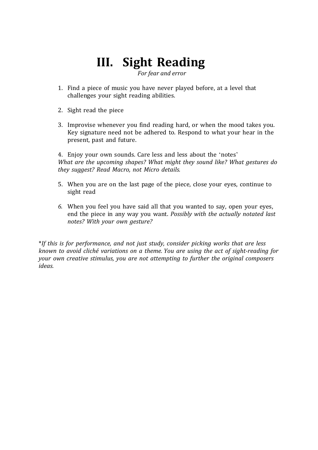## **III. Sight Reading**

 *For fear and error* 

- 1. Find a piece of music you have never played before, at a level that challenges your sight reading abilities.
- 2. Sight read the piece
- 3. Improvise whenever you find reading hard, or when the mood takes you. Key signature need not be adhered to. Respond to what your hear in the present, past and future.

4. Enjoy your own sounds. Care less and less about the 'notes' *What are the upcoming shapes? What might they sound like? What gestures do they suggest? Read Macro, not Micro details.*

- 5. When you are on the last page of the piece, close your eyes, continue to sight read
- *6.* When you feel you have said all that you wanted to say, open your eyes, end the piece in any way you want. *Possibly with the actually notated last notes? With your own gesture?*

\**If this is for performance, and not just study, consider picking works that are less known to avoid cliché variations on a theme. You are using the act of sight-reading for your own creative stimulus, you are not attempting to further the original composers ideas.*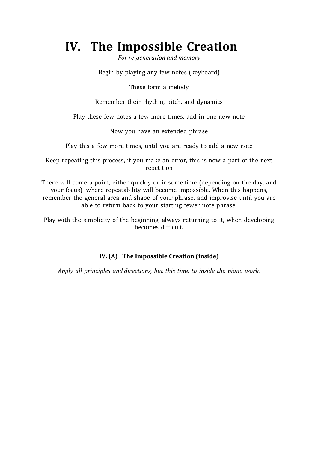## **IV. The Impossible Creation**

For re-generation and memory

Begin by playing any few notes (keyboard)

These form a melody

Remember their rhythm, pitch, and dynamics

Play these few notes a few more times, add in one new note

Now you have an extended phrase

Play this a few more times, until you are ready to add a new note

Keep repeating this process, if you make an error, this is now a part of the next repetition

There will come a point, either quickly or in some time (depending on the day, and your focus) where repeatability will become impossible. When this happens, remember the general area and shape of your phrase, and improvise until you are able to return back to your starting fewer note phrase.

Play with the simplicity of the beginning, always returning to it, when developing becomes difficult.

#### **IV.** (A) The Impossible Creation (inside)

*Apply all principles and directions, but this time to inside the piano work.*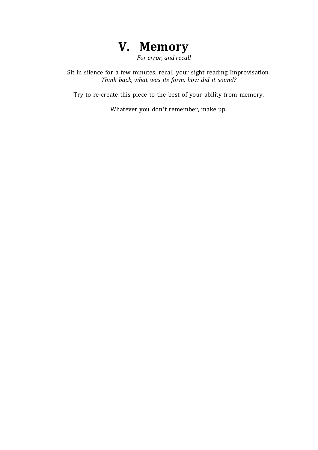

*For error, and recall* 

Sit in silence for a few minutes, recall your sight reading Improvisation. *Think back, what was its form, how did it sound?*

Try to re-create this piece to the best of your ability from memory.

Whatever you don't remember, make up.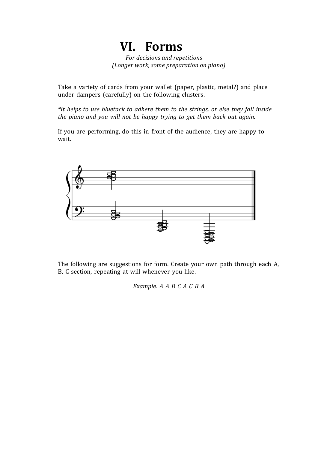## **VI. Forms**

*For decisions and repetitions (Longer work, some preparation on piano)*

Take a variety of cards from your wallet (paper, plastic, metal?) and place under dampers (carefully) on the following clusters.

*\*It helps to use bluetack to adhere them to the strings, or else they fall inside the piano and you will not be happy trying to get them back out again.*

If you are performing, do this in front of the audience, they are happy to wait.



The following are suggestions for form. Create your own path through each A, B, C section, repeating at will whenever you like.

*Example. A A B C A C B A*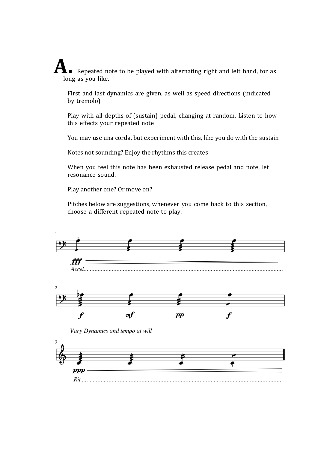**A.** Repeated note to be played with alternating right and left hand, for as long as you like.

First and last dynamics are given, as well as speed directions (indicated by tremolo)

Play with all depths of (sustain) pedal, changing at random. Listen to how this effects your repeated note

You may use una corda, but experiment with this, like you do with the sustain

Notes not sounding? Enjoy the rhythms this creates

When you feel this note has been exhausted release pedal and note, let resonance sound.

Play another one? Or move on?

Pitches below are suggestions, whenever you come back to this section, choose a different repeated note to play.

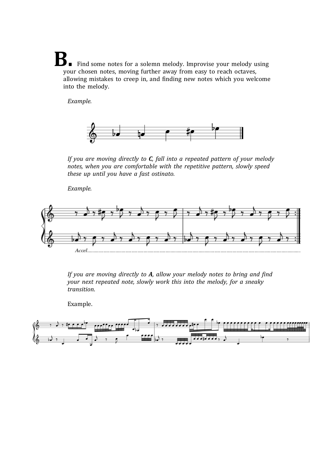Find some notes for a solemn melody. Improvise your melody using your chosen notes, moving further away from easy to reach octaves, allowing mistakes to creep in, and finding new notes which you welcome into the melody.

*Example.*



*If you are moving directly to C, fall into a repeated pattern of your melody notes, when you are comfortable with the repetitive pattern, slowly speed these up until you have a fast ostinato.*

*Example.* 



*If you are moving directly to A, allow your melody notes to bring and find your next repeated note, slowly work this into the melody, for a sneaky transition*.

Example. 

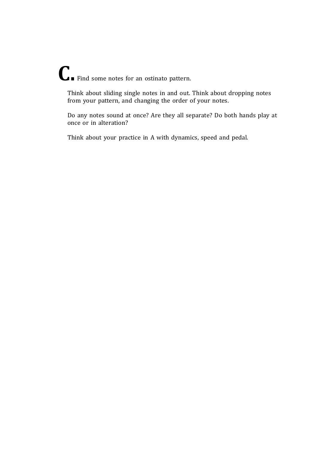# **C.** Find some notes for an ostinato pattern.

Think about sliding single notes in and out. Think about dropping notes from your pattern, and changing the order of your notes.

Do any notes sound at once? Are they all separate? Do both hands play at once or in alteration?

Think about your practice in A with dynamics, speed and pedal.